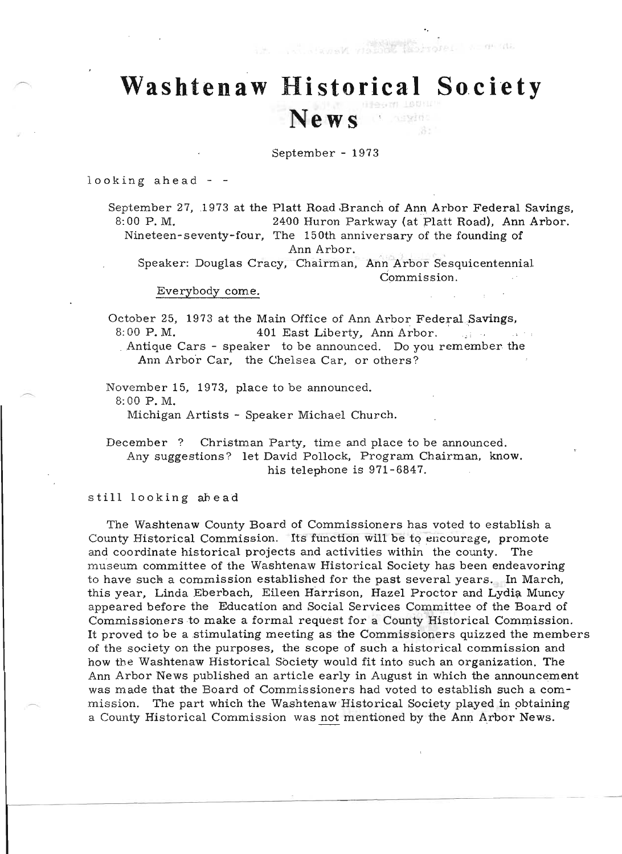## **Washtenaw Historical Society**

LavisM vision

3. NH 115.

## **News**

September - 1973

looking ahead - -

September 27, 1973 at the Platt Road Branch of Ann Arbor Federal Savings, 8:00 P.M. 2400 Huron Parkway (at Platt Road), Ann Arbor. Nineteen-seventy-four, The 150th anniversary of the founding of Ann Arbor.

Speaker: Douglas Cracy, Chairman, Ann Arbor Sesquicentennial Commission.

Everybody come.

October 25, 1973 at the Main Office of Ann Arbor Federal Savings,<br>8:00 P.M. 401 East Liberty, Ann Arbor. 8:00 P.M. 401 East Liberty, Ann Arbor.<br>Antique Cars - speaker to be announced. Do you remember the

Ann Arbo'r Car, the Chelsea Car, or others?

November 15, 1973, place to be announced. 8:00 P.M.

Michigan Artists - Speaker Michael Church.

December? Christman Party, time and place to be announced. Any suggestions? let David Pollock, Program Chairman, know. his telephone is 971-6847.

stil1 looking ahead

The Washtenaw County Board of Commissioners has voted to establish a County Historical Commission. Its function will be to encourage, promote and coordinate historical projects and activities within the county. The museum committee of the Washtenaw Historical Society has been endeavoring to have such a commission established for the past several years. In March, this year, Linda Eberbach, Eileen Harrison, Hazel Proctor and Lydia Muncy appeared before the Education and Social Services Committee of the Board of Commissioners to make a formal request for a County Historical Commission. It proved to be a stimulating meeting as' the Commissioners quizzed the members of the society on the purposes, the scope of such a historical commission and how the Washtenaw Historical Society would fit into such an organization. The Ann Arbor News published an article early in August in which the announcement was made that the Board of Commissioners had voted to establish such a commission. The part which the Washtenaw Historical Society played in pbtaining a County Historical Commission was not mentioned by the Ann Arbor News.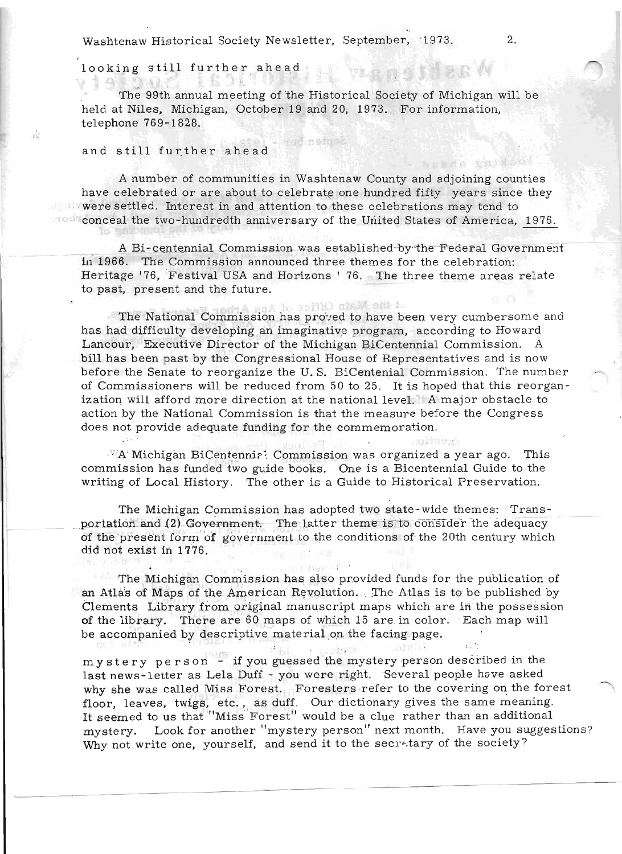Washtenaw Historical Society Newsletter, September, '1973.

The 99th annual meeting of the Historical Society of Michigan will be held at Niles, Michigan, October 19 and 20, 1973. For information, telephone 769-1828.

rsid neto

## and still further ahead

 $\Delta$   $\sim$   $\sim$   $\sim$   $\sim$ 

looking still further ahead

A number of communities in Washtenaw County and adjoining counties have celebrated or are about to celebrate one hundred fifty years since they were settled. Interest in and attention to these celebrations may tend to conceal the two-hundredth anniversary of the United States of America, 1976.

A Bi-centennial Commission was established by the Federal Government in 1966. The Commission announced three themes for the celebration: Heritage '76, Festival USA and Horizons ' 76. The three theme areas relate to past, present and the future.

le sofilO miniM officia The National Commission has proved to have been very cumbersome and has had difficulty developing an imaginative program, according to Howard Lancour, Executive Director of the Michigan BiCentennial Commission. A bill has been past by the Congressional House of Representatives and is now before the Senate to reorganize the U.S. BiCentenial Commission. The number of Commissioners will be reduced from 50 to 25. It is hoped that this reorganization will afford more direction at the national level. A major obstacle to action by the National Commission is that the measure before the Congress does not provide adequate funding for the commemoration.

**CASSION** 

WA Michigan BiCentennia? Commission was organized a year ago. This commission has funded two guide books. One is a Bicentennial Guide to the writing of Local History. The other is a Guide to Historical Preservation.

The Michigan Commission has adopted two state-wide themes: Transportation and (2) Government. The latter theme is to consider the adequacy of the present form of government to the conditions of the 20th century which did not exist in 1776.

The Michigan Commission has also provided funds for the publication of an Atlas of Maps of the American Revolution. The Atlas is to be published by Clements Library from original manuscript maps which are in the possession of the library. There are 60 maps of which 15 are in color. Each map will be accompanied by descriptive material on the facing page.

**Constructs** 

03.0611

 $F_{\text{HJ}}$ mystery person - if you guessed the mystery person described in the last news-letter as Lela Duff - you were right. Several people have asked why she was called Miss Forest. Foresters refer to the covering on the forest floor, leaves, twigs, etc., as duff. Our dictionary gives the same meaning. It seemed to us that "Miss Forest" would be a clue rather than an additional Look for another "mystery person" next month. Have you suggestions? mystery. Why not write one, yourself, and send it to the secretary of the society?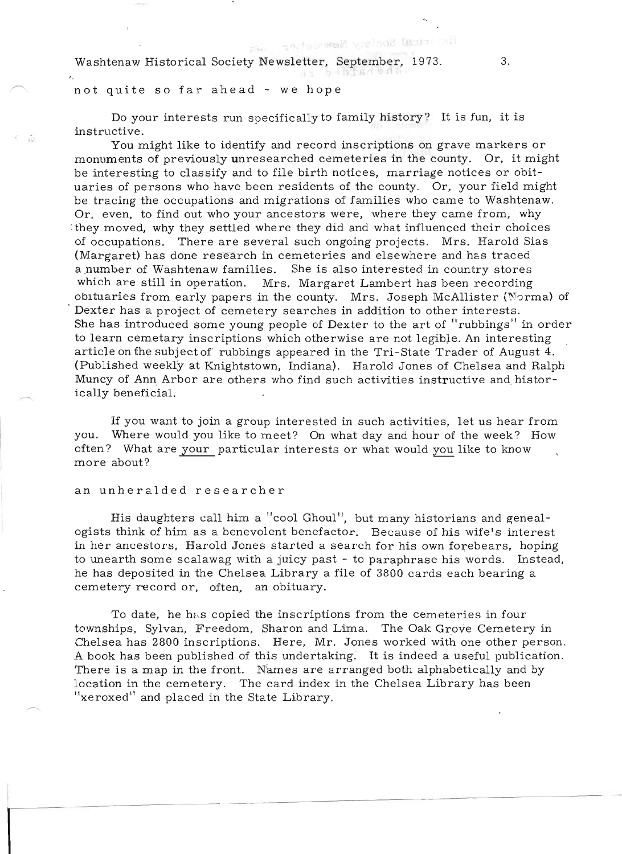Washtenaw Historical Society Newsletter, September, 1973. 3.

ence the controller is the south of the south of the south of the south of the south of the south of the south  $\alpha$ 

Do your interests run specifically to family history? It is fun, it is instructive. You might like to identify and 'record inscriptions on grave markers or

You might like to identify and record inscriptions on grave markers or<br>county. Or, it might monuments of previously unresearched cemeteries in the county. Or, it might be interesting to classify and to file birth notices, marriage notices or obituaries of persons who have been residents of the county. Or, your field might be tracing the occupations and migrations of families who came to Washtenaw. or, even, to find out who your anonators were, where they came to washing why. Or, even, to find out who your ancestors were, where they came from, why they moved, why they settled where they did and what influenced their choices of occupations. There are several such ongoing projects. Mrs. Harold Sias (occupations. There are several such ongoing projects. Mrs. Harold Sta.) nargaret) has done research in cemeteries and eisewhere and has traced<br>number of Weshtenaw families. She is also interested in country steres a number of Washtenaw families. She is also interested in country stores which are still in operation. Mrs. Margaret Lambert has been recording obituaries from early papers in the county. Mrs. Joseph McAllister (Norma) of Dexter has a project of cemetery searches in addition to other interests. She has introduced some young people of Dexter to the art of "rubbings" in order to learn cemetary inscriptions which otherwise are not legibJe. An interesting article on the subject of rubbings appeared in the Tri-State Trader of August 4. (Published weekly at Knightstown, Indiana). Harold Jones of Chelsea and Ralph whished weekly at Knightstown, Indiana). Harold Jones of Chelsea and Kaiphidincy of Ann Arbor are others who find such activities instruction.<br>...Ils beneficial

If you want to join a group interested in such activities, let us hear from you. Where would you like to meet? On what day and hour of the week? How ou. where would you like to meet? On what day and hour of the week? How the would you like to know uen e what a<br>see about?

an unheralded researcher

His daughters eall him a "cool Ghoul", but many historians and genealogists think of him as a benevolent benefactor. Because of his wife's interest in her ancestors, Harold Jones started a search for his own forebears, hoping to unearth some scalawag with a juicy past - to paraphrase his words. Instead, he has deposited in the Chelsea Library a file of 3800 cards each bearing a cemetery record or, often, an obituary.

To date, he h<sub>is</sub> copied the inscriptions from the cemeteries in four townships, Sylvan, Freedom, Sharon and Lima. The Oak Grove Cemetery in whships, Sylvan, Freedom, Sharon and Lima. The Oak Grove Cemetery in<br>helsee here, 2800 inscriptions. Here, Mr. Jones worked with one other person. helsea has 2800 inscriptions. Here, Mr. Jones worked with one other person.<br>heels has been published of this undertaking. It is indeed a useful publication. A book has been published of this undertaking. It is indeed a useful publication.<br>There is a map in the front. Names are arranged both alphabetically and by location in the cemetery. The card index in the Chelsea Library has been "xeroxed" and placed in the State Library.